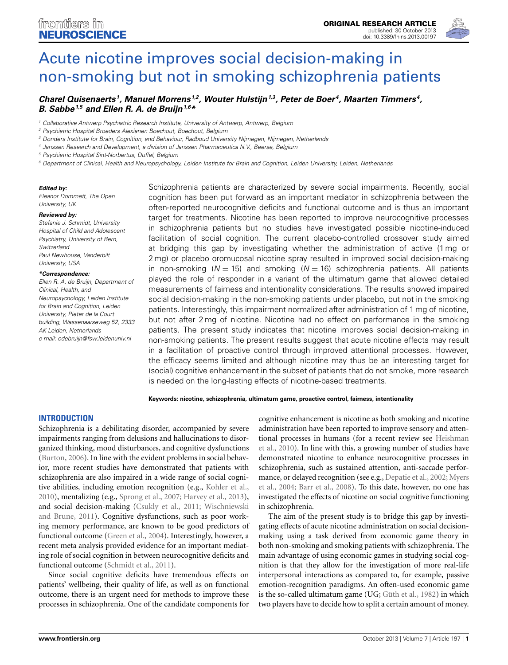

# Acute nicotine improves social decision-making in [non-smoking but not in smoking schizophrenia patients](http://www.frontiersin.org/journal/10.3389/fnins.2013.00197/abstract)

# *[Charel Quisenaerts](http://community.frontiersin.org/people/CharelQuisenaerts/117421) 1, Manuel Morrens 1,2, Wouter Hulstijn1,3, Peter de Boer 4, [Maarten Timmers](http://community.frontiersin.org/people/MaartenTimmers/116859) 4, [B. Sabbe](http://www.frontiersin.org/people/u/14017)1,5 and [Ellen R. A. de Bruijn1](http://www.frontiersin.org/people/u/30295),6\**

*<sup>1</sup> Collaborative Antwerp Psychiatric Research Institute, University of Antwerp, Antwerp, Belgium*

*<sup>3</sup> Donders Institute for Brain, Cognition, and Behaviour, Radboud University Nijmegen, Nijmegen, Netherlands*

*<sup>4</sup> Janssen Research and Development, a division of Janssen Pharmaceutica N.V., Beerse, Belgium*

*<sup>5</sup> Psychiatric Hospital Sint-Norbertus, Duffel, Belgium*

*<sup>6</sup> Department of Clinical, Health and Neuropsychology, Leiden Institute for Brain and Cognition, Leiden University, Leiden, Netherlands*

#### *Edited by:*

*Eleanor Dommett, The Open University, UK*

#### *Reviewed by:*

*Stefanie J. Schmidt, University Hospital of Child and Adolescent Psychiatry, University of Bern, Switzerland Paul Newhouse, Vanderbilt University, USA*

#### *\*Correspondence:*

*Ellen R. A. de Bruijn, Department of Clinical, Health, and Neuropsychology, Leiden Institute for Brain and Cognition, Leiden University, Pieter de la Court building, Wassenaarseweg 52, 2333 AK Leiden, Netherlands e-mail: [edebruijn@fsw.leidenuniv.nl](mailto:edebruijn@fsw.leidenuniv.nl)*

Schizophrenia patients are characterized by severe social impairments. Recently, social cognition has been put forward as an important mediator in schizophrenia between the often-reported neurocognitive deficits and functional outcome and is thus an important target for treatments. Nicotine has been reported to improve neurocognitive processes in schizophrenia patients but no studies have investigated possible nicotine-induced facilitation of social cognition. The current placebo-controlled crossover study aimed at bridging this gap by investigating whether the administration of active (1 mg or 2 mg) or placebo oromucosal nicotine spray resulted in improved social decision-making in non-smoking ( $N = 15$ ) and smoking ( $N = 16$ ) schizophrenia patients. All patients played the role of responder in a variant of the ultimatum game that allowed detailed measurements of fairness and intentionality considerations. The results showed impaired social decision-making in the non-smoking patients under placebo, but not in the smoking patients. Interestingly, this impairment normalized after administration of 1 mg of nicotine, but not after 2 mg of nicotine. Nicotine had no effect on performance in the smoking patients. The present study indicates that nicotine improves social decision-making in non-smoking patients. The present results suggest that acute nicotine effects may result in a facilitation of proactive control through improved attentional processes. However, the efficacy seems limited and although nicotine may thus be an interesting target for (social) cognitive enhancement in the subset of patients that do not smoke, more research is needed on the long-lasting effects of nicotine-based treatments.

#### **Keywords: nicotine, schizophrenia, ultimatum game, proactive control, fairness, intentionality**

# **INTRODUCTION**

Schizophrenia is a debilitating disorder, accompanied by severe impairments ranging from delusions and hallucinations to disorganized thinking, mood disturbances, and cognitive dysfunctions [\(Burton, 2006](#page-6-0)). In line with the evident problems in social behavior, more recent studies have demonstrated that patients with schizophrenia are also impaired in a wide range of social cognitive abilities, including emotion recognition (e.g., [Kohler et al.,](#page-6-1) [2010](#page-6-1)), mentalizing (e.g., [Sprong et al., 2007;](#page-7-0) [Harvey et al.](#page-6-2), [2013](#page-6-2)), and social [decision-making](#page-7-1) [\(Csukly et al.](#page-6-3)[,](#page-7-1) [2011;](#page-6-3) Wischniewski and Brune, [2011\)](#page-7-1). Cognitive dysfunctions, such as poor working memory performance, are known to be good predictors of functional outcome [\(Green et al.](#page-6-4), [2004](#page-6-4)). Interestingly, however, a recent meta analysis provided evidence for an important mediating role of social cognition in between neurocognitive deficits and functional outcome [\(Schmidt et al., 2011](#page-7-2)).

Since social cognitive deficits have tremendous effects on patients' wellbeing, their quality of life, as well as on functional outcome, there is an urgent need for methods to improve these processes in schizophrenia. One of the candidate components for

cognitive enhancement is nicotine as both smoking and nicotine administration have been reported to improve sensory and attention[al processes in humans \(for a recent review see](#page-6-5) Heishman et al., [2010\)](#page-6-5). In line with this, a growing number of studies have demonstrated nicotine to enhance neurocognitive processes in schizophrenia, such as sustained attention, anti-saccade performan[ce, or delayed recognition \(see e.g.,](#page-6-7) [Depatie et al.](#page-6-6), [2002;](#page-6-6) Myers et al., [2004](#page-6-7); [Barr et al., 2008\)](#page-6-8). To this date, however, no one has investigated the effects of nicotine on social cognitive functioning in schizophrenia.

The aim of the present study is to bridge this gap by investigating effects of acute nicotine administration on social decisionmaking using a task derived from economic game theory in both non-smoking and smoking patients with schizophrenia. The main advantage of using economic games in studying social cognition is that they allow for the investigation of more real-life interpersonal interactions as compared to, for example, passive emotion-recognition paradigms. An often-used economic game is the so-called ultimatum game (UG; [Güth et al.](#page-6-9), [1982](#page-6-9)) in which two players have to decide how to split a certain amount of money.

*<sup>2</sup> Psychiatric Hospital Broeders Alexianen Boechout, Boechout, Belgium*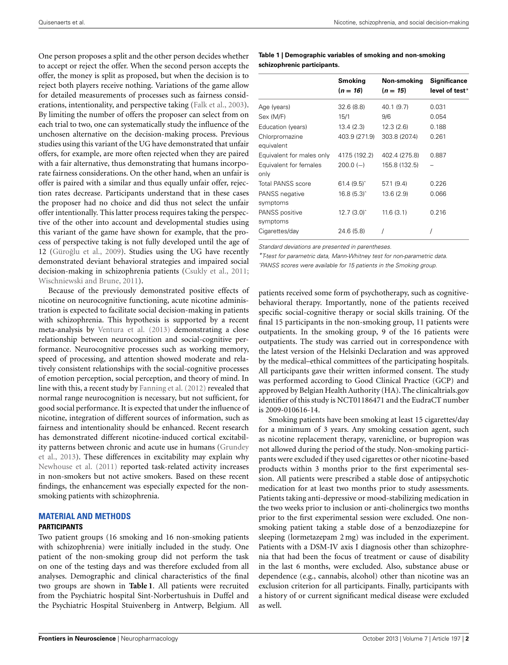One person proposes a split and the other person decides whether to accept or reject the offer. When the second person accepts the offer, the money is split as proposed, but when the decision is to reject both players receive nothing. Variations of the game allow for detailed measurements of processes such as fairness considerations, intentionality, and perspective taking [\(Falk et al.](#page-6-10), [2003](#page-6-10)). By limiting the number of offers the proposer can select from on each trial to two, one can systematically study the influence of the unchosen alternative on the decision-making process. Previous studies using this variant of the UG have demonstrated that unfair offers, for example, are more often rejected when they are paired with a fair alternative, thus demonstrating that humans incorporate fairness considerations. On the other hand, when an unfair is offer is paired with a similar and thus equally unfair offer, rejection rates decrease. Participants understand that in these cases the proposer had no choice and did thus not select the unfair offer intentionally. This latter process requires taking the perspective of the other into account and developmental studies using this variant of the game have shown for example, that the process of perspective taking is not fully developed until the age of 12 (Güroğlu et al., [2009](#page-6-11)). Studies using the UG have recently demonstrated deviant behavioral strategies and impaired social decision-making in schizophrenia patients [\(Csukly et al.](#page-6-3), [2011;](#page-6-3) [Wischniewski and Brune](#page-7-1), [2011](#page-7-1)).

Because of the previously demonstrated positive effects of nicotine on neurocognitive functioning, acute nicotine administration is expected to facilitate social decision-making in patients with schizophrenia. This hypothesis is supported by a recent meta-analysis by [Ventura et al.](#page-7-3) [\(2013](#page-7-3)) demonstrating a close relationship between neurocognition and social-cognitive performance. Neurocognitive processes such as working memory, speed of processing, and attention showed moderate and relatively consistent relationships with the social-cognitive processes of emotion perception, social perception, and theory of mind. In line with this, a recent study by [Fanning et al.](#page-6-12) [\(2012](#page-6-12)) revealed that normal range neurocognition is necessary, but not sufficient, for good social performance. It is expected that under the influence of nicotine, integration of different sources of information, such as fairness and intentionality should be enhanced. Recent research has demonstrated different nicotine-induced cortical excitability p[atterns](#page-6-13) [between](#page-6-13) [chronic](#page-6-13) [and](#page-6-13) [acute](#page-6-13) [use](#page-6-13) [in](#page-6-13) [humans](#page-6-13) [\(](#page-6-13)Grundey et al., [2013\)](#page-6-13). These differences in excitability may explain why [Newhouse et al.](#page-6-14) [\(2011\)](#page-6-14) reported task-related activity increases in non-smokers but not active smokers. Based on these recent findings, the enhancement was especially expected for the nonsmoking patients with schizophrenia.

# **MATERIAL AND METHODS**

## **PARTICIPANTS**

Two patient groups (16 smoking and 16 non-smoking patients with schizophrenia) were initially included in the study. One patient of the non-smoking group did not perform the task on one of the testing days and was therefore excluded from all analyses. Demographic and clinical characteristics of the final two groups are shown in **[Table 1](#page-1-0)**. All patients were recruited from the Psychiatric hospital Sint-Norbertushuis in Duffel and the Psychiatric Hospital Stuivenberg in Antwerp, Belgium. All

# <span id="page-1-0"></span>**Table 1 | Demographic variables of smoking and non-smoking schizophrenic participants.**

|                                   | Smoking<br>$(n = 16)$    | Non-smoking<br>$(n = 15)$ | <b>Significance</b><br>level of test* |
|-----------------------------------|--------------------------|---------------------------|---------------------------------------|
| Age (years)                       | 32.6(8.8)                | 40.1 (9.7)                | 0.031                                 |
| Sex (M/F)                         | 15/1                     | 9/6                       | 0.054                                 |
| Education (years)                 | 13.4(2.3)                | 12.3(2.6)                 | 0.188                                 |
| Chlorpromazine<br>equivalent      | 403.9 (271.9)            | 303.8 (207.4)             | 0.261                                 |
| Equivalent for males only         | 417.5 (192.2)            | 402.4 (275.8)             | 0.887                                 |
| Equivalent for females<br>only    | $200.0(-)$               | 155.8 (132.5)             |                                       |
| <b>Total PANSS score</b>          | $61.4(9.5)$ <sup>^</sup> | 57.1 (9.4)                | 0.226                                 |
| <b>PANSS</b> negative<br>symptoms | $16.8(5.3)$ <sup>^</sup> | 13.6(2.9)                 | 0.066                                 |
| <b>PANSS positive</b><br>symptoms | $12.7(3.0)$ <sup>2</sup> | 11.6(3.1)                 | 0.216                                 |
| Cigarettes/day                    | 24.6 (5.8)               |                           |                                       |

*Standard deviations are presented in parentheses.*

*\*T-test for parametric data, Mann-Whitney test for non-parametric data. ˆPANSS scores were available for 15 patients in the Smoking group.*

patients received some form of psychotherapy, such as cognitivebehavioral therapy. Importantly, none of the patients received specific social-cognitive therapy or social skills training. Of the final 15 participants in the non-smoking group, 11 patients were outpatients. In the smoking group, 9 of the 16 patients were outpatients. The study was carried out in correspondence with the latest version of the Helsinki Declaration and was approved by the medical–ethical committees of the participating hospitals. All participants gave their written informed consent. The study was performed according to Good Clinical Practice (GCP) and approved by Belgian Health Authority (HA). The clinicaltrials.gov identifier of this study is NCT01186471 and the EudraCT number is 2009-010616-14.

Smoking patients have been smoking at least 15 cigarettes/day for a minimum of 3 years. Any smoking cessation agent, such as nicotine replacement therapy, varenicline, or bupropion was not allowed during the period of the study. Non-smoking participants were excluded if they used cigarettes or other nicotine-based products within 3 months prior to the first experimental session. All patients were prescribed a stable dose of antipsychotic medication for at least two months prior to study assessments. Patients taking anti-depressive or mood-stabilizing medication in the two weeks prior to inclusion or anti-cholinergics two months prior to the first experimental session were excluded. One nonsmoking patient taking a stable dose of a benzodiazepine for sleeping (lormetazepam 2 mg) was included in the experiment. Patients with a DSM-IV axis I diagnosis other than schizophrenia that had been the focus of treatment or cause of disability in the last 6 months, were excluded. Also, substance abuse or dependence (e.g., cannabis, alcohol) other than nicotine was an exclusion criterion for all participants. Finally, participants with a history of or current significant medical disease were excluded as well.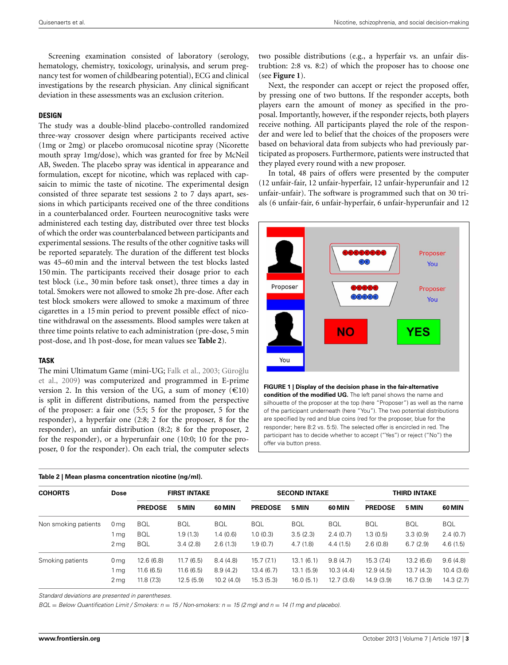Screening examination consisted of laboratory (serology, hematology, chemistry, toxicology, urinalysis, and serum pregnancy test for women of childbearing potential), ECG and clinical investigations by the research physician. Any clinical significant deviation in these assessments was an exclusion criterion.

## **DESIGN**

The study was a double-blind placebo-controlled randomized three-way crossover design where participants received active (1mg or 2mg) or placebo oromucosal nicotine spray (Nicorette mouth spray 1mg/dose), which was granted for free by McNeil AB, Sweden. The placebo spray was identical in appearance and formulation, except for nicotine, which was replaced with capsaicin to mimic the taste of nicotine. The experimental design consisted of three separate test sessions 2 to 7 days apart, sessions in which participants received one of the three conditions in a counterbalanced order. Fourteen neurocognitive tasks were administered each testing day, distributed over three test blocks of which the order was counterbalanced between participants and experimental sessions. The results of the other cognitive tasks will be reported separately. The duration of the different test blocks was 45–60 min and the interval between the test blocks lasted 150 min. The participants received their dosage prior to each test block (i.e., 30 min before task onset), three times a day in total. Smokers were not allowed to smoke 2h pre-dose. After each test block smokers were allowed to smoke a maximum of three cigarettes in a 15 min period to prevent possible effect of nicotine withdrawal on the assessments. Blood samples were taken at three time points relative to each administration (pre-dose, 5 min post-dose, and 1h post-dose, for mean values see **[Table 2](#page-2-0)**).

## **TASK**

The [mini Ultimatum Game \(mini-UG;](#page-6-11) [Falk et al.](#page-6-10), [2003](#page-6-10); Güroğlu et al., [2009\)](#page-6-11) was computerized and programmed in E-prime version 2. In this version of the UG, a sum of money  $(\text{\textsterling}10)$ is split in different distributions, named from the perspective of the proposer: a fair one (5:5; 5 for the proposer, 5 for the responder), a hyperfair one (2:8; 2 for the proposer, 8 for the responder), an unfair distribution (8:2; 8 for the proposer, 2 for the responder), or a hyperunfair one (10:0; 10 for the proposer, 0 for the responder). On each trial, the computer selects two possible distributions (e.g., a hyperfair vs. an unfair distrubtion: 2:8 vs. 8:2) of which the proposer has to choose one (see **[Figure 1](#page-2-1)**).

Next, the responder can accept or reject the proposed offer, by pressing one of two buttons. If the responder accepts, both players earn the amount of money as specified in the proposal. Importantly, however, if the responder rejects, both players receive nothing. All participants played the role of the responder and were led to belief that the choices of the proposers were based on behavioral data from subjects who had previously participated as proposers. Furthermore, patients were instructed that they played every round with a new proposer.

In total, 48 pairs of offers were presented by the computer (12 unfair-fair, 12 unfair-hyperfair, 12 unfair-hyperunfair and 12 unfair-unfair). The software is programmed such that on 30 trials (6 unfair-fair, 6 unfair-hyperfair, 6 unfair-hyperunfair and 12



<span id="page-2-1"></span>**FIGURE 1 | Display of the decision phase in the fair-alternative condition of the modified UG.** The left panel shows the name and silhouette of the proposer at the top (here "Proposer") as well as the name of the participant underneath (here "You"). The two potential distributions are specified by red and blue coins (red for the proposer, blue for the responder; here 8:2 vs. 5:5). The selected offer is encircled in red. The participant has to decide whether to accept ("Yes") or reject ("No") the offer via button press.

| <b>COHORTS</b>       | <b>Dose</b>     | <b>FIRST INTAKE</b> |           | <b>SECOND INTAKE</b> |                | <b>THIRD INTAKE</b> |           |                |            |            |
|----------------------|-----------------|---------------------|-----------|----------------------|----------------|---------------------|-----------|----------------|------------|------------|
|                      |                 | <b>PREDOSE</b>      | 5 MIN     | 60 MIN               | <b>PREDOSE</b> | 5 MIN               | 60 MIN    | <b>PREDOSE</b> | 5 MIN      | 60 MIN     |
| Non smoking patients | 0 <sub>mq</sub> | <b>BOL</b>          | BQL       | <b>BOL</b>           | <b>BOL</b>     | <b>BOL</b>          | BQL       | <b>BOL</b>     | <b>BOL</b> | <b>BOL</b> |
|                      | 1 ma            | <b>BOL</b>          | 1.9(1.3)  | 1.4(0.6)             | 1.0(0.3)       | 3.5(2.3)            | 2.4(0.7)  | 1.3(0.5)       | 3.3(0.9)   | 2.4(0.7)   |
|                      | 2 <sub>mq</sub> | <b>BOL</b>          | 3.4(2.8)  | 2.6(1.3)             | 1.9(0.7)       | 4.7(1.8)            | 4.4(1.5)  | 2.6(0.8)       | 6.7(2.9)   | 4.6(1.5)   |
| Smoking patients     | 0 <sub>mq</sub> | 12.6(6.8)           | 11.7(6.5) | 8.4(4.8)             | 15.7(7.1)      | 13.1(6.1)           | 9.8(4.7)  | 15.3(7.4)      | 13.2(6.6)  | 9.6(4.8)   |
|                      | 1 mg            | 11.6(6.5)           | 11.6(6.5) | 8.9(4.2)             | 13.4(6.7)      | 13.1(5.9)           | 10.3(4.4) | 12.9(4.5)      | 13.7(4.3)  | 10.4(3.6)  |
|                      | 2 <sub>mq</sub> | 11.8(7.3)           | 12.5(5.9) | 10.2(4.0)            | 15.3(5.3)      | 16.0(5.1)           | 12.7(3.6) | 14.9(3.9)      | 16.7(3.9)  | 14.3(2.7)  |
|                      |                 |                     |           |                      |                |                     |           |                |            |            |

<span id="page-2-0"></span>**Table 2 | Mean plasma concentration nicotine (ng/ml).**

*Standard deviations are presented in parentheses.*

*BQL* = *Below Quantification Limit / Smokers: n* = *15 / Non-smokers: n* = *15 (2 mg) and n* = *14 (1 mg and placebo).*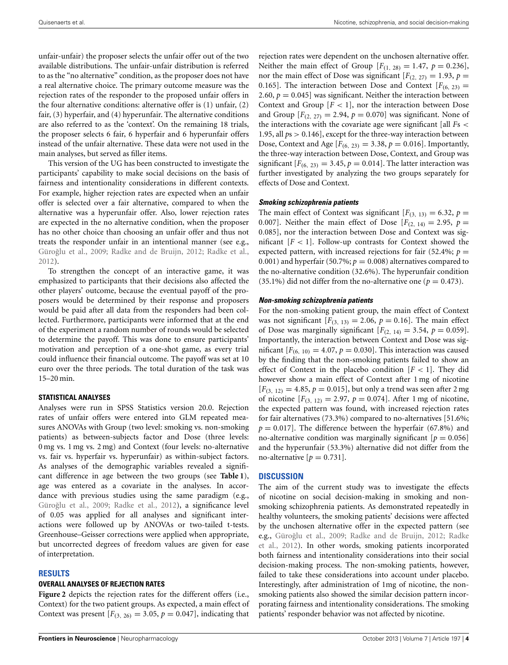unfair-unfair) the proposer selects the unfair offer out of the two available distributions. The unfair-unfair distribution is referred to as the "no alternative" condition, as the proposer does not have a real alternative choice. The primary outcome measure was the rejection rates of the responder to the proposed unfair offers in the four alternative conditions: alternative offer is (1) unfair, (2) fair, (3) hyperfair, and (4) hyperunfair. The alternative conditions are also referred to as the 'context'. On the remaining 18 trials, the proposer selects 6 fair, 6 hyperfair and 6 hyperunfair offers instead of the unfair alternative. These data were not used in the main analyses, but served as filler items.

This version of the UG has been constructed to investigate the participants' capability to make social decisions on the basis of fairness and intentionality considerations in different contexts. For example, higher rejection rates are expected when an unfair offer is selected over a fair alternative, compared to when the alternative was a hyperunfair offer. Also, lower rejection rates are expected in the no alternative condition, when the proposer has no other choice than choosing an unfair offer and thus not treats the responder unfair in an intentional manner (see e.g., Güroğlu et al., [2009](#page-6-11); [Radke and de Bruijn, 2012;](#page-7-4) [Radke et al.](#page-7-5), [2012](#page-7-5)).

To strengthen the concept of an interactive game, it was emphasized to participants that their decisions also affected the other players' outcome, because the eventual payoff of the proposers would be determined by their response and proposers would be paid after all data from the responders had been collected. Furthermore, participants were informed that at the end of the experiment a random number of rounds would be selected to determine the payoff. This was done to ensure participants' motivation and perception of a one-shot game, as every trial could influence their financial outcome. The payoff was set at 10 euro over the three periods. The total duration of the task was 15–20 min.

## **STATISTICAL ANALYSES**

Analyses were run in SPSS Statistics version 20.0. Rejection rates of unfair offers were entered into GLM repeated measures ANOVAs with Group (two level: smoking vs. non-smoking patients) as between-subjects factor and Dose (three levels: 0 mg vs. 1 mg vs. 2 mg) and Context (four levels: no-alternative vs. fair vs. hyperfair vs. hyperunfair) as within-subject factors. As analyses of the demographic variables revealed a significant difference in age between the two groups (see **[Table 1](#page-1-0)**), age was entered as a covariate in the analyses. In accordance with previous studies using the same paradigm (e.g., Güroğlu et al., 2009; [Radke et al., 2012](#page-7-5)), a significance level of 0.05 was applied for all analyses and significant interactions were followed up by ANOVAs or two-tailed t-tests. Greenhouse–Geisser corrections were applied when appropriate, but uncorrected degrees of freedom values are given for ease of interpretation.

## **RESULTS**

#### **OVERALL ANALYSES OF REJECTION RATES**

**[Figure 2](#page-4-0)** depicts the rejection rates for the different offers (i.e., Context) for the two patient groups. As expected, a main effect of Context was present  $[F_{(3, 26)} = 3.05, p = 0.047]$ , indicating that

rejection rates were dependent on the unchosen alternative offer. Neither the main effect of Group  $[F(1, 28) = 1.47, p = 0.236]$ , nor the main effect of Dose was significant  $[F(2, 27) = 1.93, p =$ 0.165]. The interaction between Dose and Context  $[F(6, 23)]$ 2.60,  $p = 0.045$ ] was significant. Neither the interaction between Context and Group  $[F < 1]$ , nor the interaction between Dose and Group  $[F_{(2, 27)} = 2.94, p = 0.070]$  was significant. None of the interactions with the covariate age were significant [all *F*s *<* 1.95, all *p*s *>* 0.146], except for the three-way interaction between Dose, Context and Age  $[F_{(6, 23)} = 3.38, p = 0.016]$ . Importantly, the three-way interaction between Dose, Context, and Group was significant  $[F(6, 23) = 3.45, p = 0.014]$ . The latter interaction was further investigated by analyzing the two groups separately for effects of Dose and Context.

## *Smoking schizophrenia patients*

The main effect of Context was significant  $[F_{(3, 13)} = 6.32, p =$ 0.007]. Neither the main effect of Dose  $[F_{(2, 14)} = 2.95, p =$ 0*.*085], nor the interaction between Dose and Context was significant  $[F < 1]$ . Follow-up contrasts for Context showed the expected pattern, with increased rejections for fair  $(52.4\%; p =$ 0.001) and hyperfair (50.7%;  $p = 0.008$ ) alternatives compared to the no-alternative condition (32.6%). The hyperunfair condition (35.1%) did not differ from the no-alternative one ( $p = 0.473$ ).

## *Non-smoking schizophrenia patients*

For the non-smoking patient group, the main effect of Context was not significant  $[F_{(3, 13)} = 2.06, p = 0.16]$ . The main effect of Dose was marginally significant  $[F_{(2, 14)} = 3.54, p = 0.059]$ . Importantly, the interaction between Context and Dose was significant  $[F_{(6, 10)} = 4.07, p = 0.030]$ . This interaction was caused by the finding that the non-smoking patients failed to show an effect of Context in the placebo condition [*F <* 1]. They did however show a main effect of Context after 1 mg of nicotine [*F(*3*,* <sup>12</sup>*)* = 4*.*85, *p* = 0*.*015], but only a trend was seen after 2 mg of nicotine  $[F_{(3, 12)} = 2.97, p = 0.074]$ . After 1 mg of nicotine, the expected pattern was found, with increased rejection rates for fair alternatives (73.3%) compared to no-alternatives [51.6%;  $p = 0.017$ ]. The difference between the hyperfair (67.8%) and no-alternative condition was marginally significant  $[p = 0.056]$ and the hyperunfair (53.3%) alternative did not differ from the no-alternative  $[p = 0.731]$ .

## **DISCUSSION**

The aim of the current study was to investigate the effects of nicotine on social decision-making in smoking and nonsmoking schizophrenia patients. As demonstrated repeatedly in healthy volunteers, the smoking patients' decisions were affected by the unchosen alternative offer in the expected pattern (see e.g.[,](#page-7-5) Güroğlu et al., [2009](#page-6-11)[;](#page-7-5) [Radke and de Bruijn, 2012;](#page-7-4) Radke et al., [2012\)](#page-7-5). In other words, smoking patients incorporated both fairness and intentionality considerations into their social decision-making process. The non-smoking patients, however, failed to take these considerations into account under placebo. Interestingly, after administration of 1mg of nicotine, the nonsmoking patients also showed the similar decision pattern incorporating fairness and intentionality considerations. The smoking patients' responder behavior was not affected by nicotine.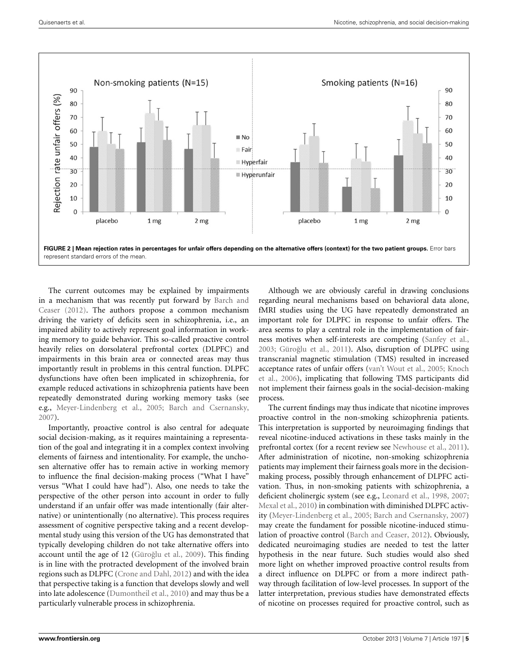

<span id="page-4-0"></span>The current outcomes may be explained by impairments in a [mechanism](#page-6-15) [that](#page-6-15) [was](#page-6-15) [recently](#page-6-15) [put](#page-6-15) [forward](#page-6-15) [by](#page-6-15) Barch and Ceaser [\(2012](#page-6-15)). The authors propose a common mechanism driving the variety of deficits seen in schizophrenia, i.e., an impaired ability to actively represent goal information in working memory to guide behavior. This so-called proactive control heavily relies on dorsolateral prefrontal cortex (DLPFC) and impairments in this brain area or connected areas may thus importantly result in problems in this central function. DLPFC dysfunctions have often been implicated in schizophrenia, for example reduced activations in schizophrenia patients have been repeatedly demonstrated during working memory tasks (see e.g., [Meyer-Lindenberg et al., 2005](#page-6-16); [Barch and Csernansky,](#page-6-17) [2007](#page-6-17)).

Importantly, proactive control is also central for adequate social decision-making, as it requires maintaining a representation of the goal and integrating it in a complex context involving elements of fairness and intentionality. For example, the unchosen alternative offer has to remain active in working memory to influence the final decision-making process ("What I have" versus "What I could have had"). Also, one needs to take the perspective of the other person into account in order to fully understand if an unfair offer was made intentionally (fair alternative) or unintentionally (no alternative). This process requires assessment of cognitive perspective taking and a recent developmental study using this version of the UG has demonstrated that typically developing children do not take alternative offers into account until the age of 12 (Güroğlu et al., 2009). This finding is in line with the protracted development of the involved brain regions such as DLPFC [\(Crone and Dahl, 2012](#page-6-18)) and with the idea that perspective taking is a function that develops slowly and well into late adolescence [\(Dumontheil et al.](#page-6-19), [2010\)](#page-6-19) and may thus be a particularly vulnerable process in schizophrenia.

Although we are obviously careful in drawing conclusions regarding neural mechanisms based on behavioral data alone, fMRI studies using the UG have repeatedly demonstrated an important role for DLPFC in response to unfair offers. The area seems to play a central role in the implementation of fairness motives when self-interests are competing [\(Sanfey et al.,](#page-7-6) [2003](#page-7-6); Güroğlu et al., [2011](#page-6-20)). Also, disruption of DLPFC using transcranial magnetic stimulation (TMS) resulted in increased acce[ptance rates of unfair offers](#page-6-21) [\(van't Wout et al.](#page-7-7)[,](#page-6-21) [2005](#page-7-7)[;](#page-6-21) Knoch et al., [2006\)](#page-6-21), implicating that following TMS participants did not implement their fairness goals in the social-decision-making process.

The current findings may thus indicate that nicotine improves proactive control in the non-smoking schizophrenia patients. This interpretation is supported by neuroimaging findings that reveal nicotine-induced activations in these tasks mainly in the prefrontal cortex (for a recent review see [Newhouse et al., 2011](#page-6-14)). After administration of nicotine, non-smoking schizophrenia patients may implement their fairness goals more in the decisionmaking process, possibly through enhancement of DLPFC activation. Thus, in non-smoking patients with schizophrenia, a deficient cholinergic system (see e.g., [Leonard et al., 1998](#page-6-22), [2007;](#page-6-23) [Mexal et al., 2010](#page-6-24)) in combination with diminished DLPFC activity [\(Meyer-Lindenberg et al.](#page-6-16), [2005](#page-6-16); [Barch and Csernansky](#page-6-17), [2007](#page-6-17)) may create the fundament for possible nicotine-induced stimulation of proactive control [\(Barch and Ceaser](#page-6-15), [2012](#page-6-15)). Obviously, dedicated neuroimaging studies are needed to test the latter hypothesis in the near future. Such studies would also shed more light on whether improved proactive control results from a direct influence on DLPFC or from a more indirect pathway through facilitation of low-level processes. In support of the latter interpretation, previous studies have demonstrated effects of nicotine on processes required for proactive control, such as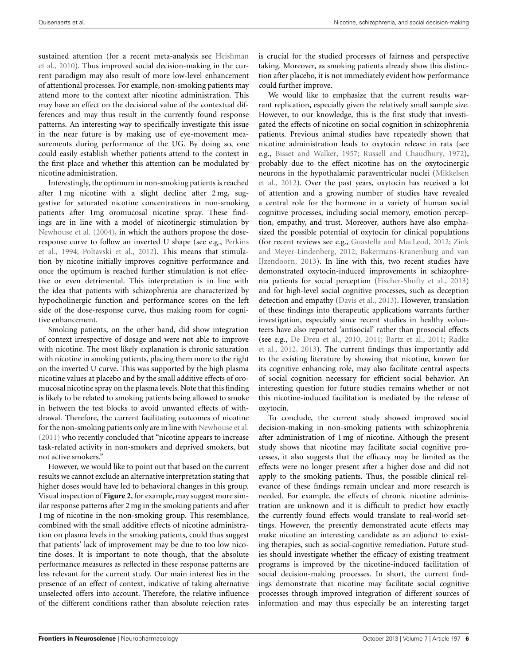sust[ained attention \(for a recent meta-analysis see](#page-6-5) Heishman et al., [2010\)](#page-6-5). Thus improved social decision-making in the current paradigm may also result of more low-level enhancement of attentional processes. For example, non-smoking patients may attend more to the context after nicotine administration. This may have an effect on the decisional value of the contextual differences and may thus result in the currently found response patterns. An interesting way to specifically investigate this issue in the near future is by making use of eye-movement measurements during performance of the UG. By doing so, one could easily establish whether patients attend to the context in the first place and whether this attention can be modulated by nicotine administration.

Interestingly, the optimum in non-smoking patients is reached after 1 mg nicotine with a slight decline after 2 mg, suggestive for saturated nicotine concentrations in non-smoking patients after 1mg oromucosal nicotine spray. These findings are in line with a model of nicotinergic stimulation by [Newhouse et al.](#page-7-8) [\(2004](#page-7-8)), in which the authors propose the doseresp[onse curve to follow an inverted U shape \(see e.g.,](#page-7-9) Perkins et al., [1994](#page-7-9); [Poltavski et al.](#page-7-10), [2012](#page-7-10)). This means that stimulation by nicotine initially improves cognitive performance and once the optimum is reached further stimulation is not effective or even detrimental. This interpretation is in line with the idea that patients with schizophrenia are characterized by hypocholinergic function and performance scores on the left side of the dose-response curve, thus making room for cognitive enhancement.

Smoking patients, on the other hand, did show integration of context irrespective of dosage and were not able to improve with nicotine. The most likely explanation is chronic saturation with nicotine in smoking patients, placing them more to the right on the inverted U curve. This was supported by the high plasma nicotine values at placebo and by the small additive effects of oromucosal nicotine spray on the plasma levels. Note that this finding is likely to be related to smoking patients being allowed to smoke in between the test blocks to avoid unwanted effects of withdrawal. Therefore, the current facilitating outcomes of nicotine for the non-smoking patients only are in line with [Newhouse et al.](#page-6-14) [\(2011\)](#page-6-14) who recently concluded that "nicotine appears to increase task-related activity in non-smokers and deprived smokers, but not active smokers."

However, we would like to point out that based on the current results we cannot exclude an alternative interpretation stating that higher doses would have led to behavioral changes in this group. Visual inspection of **[Figure 2](#page-4-0)**, for example, may suggest more similar response patterns after 2 mg in the smoking patients and after 1 mg of nicotine in the non-smoking group. This resemblance, combined with the small additive effects of nicotine administration on plasma levels in the smoking patients, could thus suggest that patients' lack of improvement may be due to too low nicotine doses. It is important to note though, that the absolute performance measures as reflected in these response patterns are less relevant for the current study. Our main interest lies in the presence of an effect of context, indicative of taking alternative unselected offers into account. Therefore, the relative influence of the different conditions rather than absolute rejection rates

is crucial for the studied processes of fairness and perspective taking. Moreover, as smoking patients already show this distinction after placebo, it is not immediately evident how performance could further improve.

We would like to emphasize that the current results warrant replication, especially given the relatively small sample size. However, to our knowledge, this is the first study that investigated the effects of nicotine on social cognition in schizophrenia patients. Previous animal studies have repeatedly shown that nicotine administration leads to oxytocin release in rats (see e.g., [Bisset and Walker](#page-6-25), [1957](#page-6-25); [Russell and Chaudhury](#page-7-11), [1972\)](#page-7-11), probably due to the effect nicotine has on the oxytocinergic neur[ons](#page-6-26) [in](#page-6-26) [the](#page-6-26) [hypothalamic](#page-6-26) [paraventricular](#page-6-26) [nuclei](#page-6-26) [\(](#page-6-26)Mikkelsen et al., [2012\)](#page-6-26). Over the past years, oxytocin has received a lot of attention and a growing number of studies have revealed a central role for the hormone in a variety of human social cognitive processes, including social memory, emotion perception, empathy, and trust. Moreover, authors have also emphasized the possible potential of oxytocin for clinical populations (for recent reviews see e.g., [Guastella and MacLeod, 2012](#page-6-27)[;](#page-7-12) Zink and Meyer[-Lindenberg,](#page-6-28) [2012](#page-7-12)[;](#page-6-28) Bakermans-Kranenburg and van IJzendoorn, [2013](#page-6-28)). In line with this, two recent studies have demonstrated oxytocin-induced improvements in schizophrenia patients for social perception [\(Fischer-Shofty et al., 2013](#page-6-29)) and for high-level social cognitive processes, such as deception detection and empathy [\(Davis et al., 2013\)](#page-6-30). However, translation of these findings into therapeutic applications warrants further investigation, especially since recent studies in healthy volunteers have also reported 'antisocial' rather than prosocial effects (see e.g., [De Dreu et al.](#page-6-31)[,](#page-7-5) [2010](#page-6-31)[,](#page-7-5) [2011](#page-6-32)[;](#page-7-5) [Bartz et al.](#page-6-33)[,](#page-7-5) [2011](#page-6-33)[;](#page-7-5) Radke et al., [2012,](#page-7-5) [2013](#page-7-13)). The current findings thus importantly add to the existing literature by showing that nicotine, known for its cognitive enhancing role, may also facilitate central aspects of social cognition necessary for efficient social behavior. An interesting question for future studies remains whether or not this nicotine-induced facilitation is mediated by the release of oxytocin.

To conclude, the current study showed improved social decision-making in non-smoking patients with schizophrenia after administration of 1 mg of nicotine. Although the present study shows that nicotine may facilitate social cognitive processes, it also suggests that the efficacy may be limited as the effects were no longer present after a higher dose and did not apply to the smoking patients. Thus, the possible clinical relevance of these findings remain unclear and more research is needed. For example, the effects of chronic nicotine administration are unknown and it is difficult to predict how exactly the currently found effects would translate to real-world settings. However, the presently demonstrated acute effects may make nicotine an interesting candidate as an adjunct to existing therapies, such as social-cognitive remediation. Future studies should investigate whether the efficacy of existing treatment programs is improved by the nicotine-induced facilitation of social decision-making processes. In short, the current findings demonstrate that nicotine may facilitate social cognitive processes through improved integration of different sources of information and may thus especially be an interesting target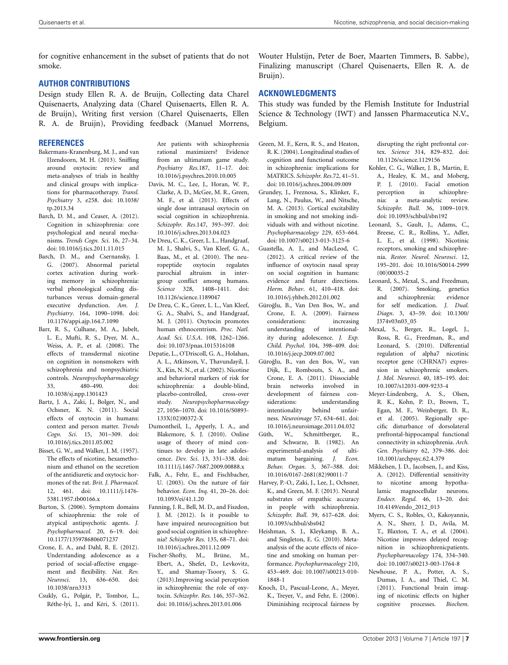for cognitive enhancement in the subset of patients that do not smoke.

# **AUTHOR CONTRIBUTIONS**

Design study Ellen R. A. de Bruijn, Collecting data Charel Quisenaerts, Analyzing data (Charel Quisenaerts, Ellen R. A. de Bruijn), Writing first version (Charel Quisenaerts, Ellen R. A. de Bruijn), Providing feedback (Manuel Morrens,

#### **REFERENCES**

- <span id="page-6-28"></span>Bakermans-Kranenburg, M. J., and van IJzendoorn, M. H. (2013). Sniffing around oxytocin: review and meta-analyses of trials in healthy and clinical groups with implications for pharmacotherapy. *Transl. Psychiatry* 3, e258. doi: 10.1038/ tp.2013.34
- <span id="page-6-15"></span>Barch, D. M., and Ceaser, A. (2012). Cognition in schizophrenia: core psychological and neural mechanisms. *Trends Cogn. Sci*. 16, 27–34. doi: 10.1016/j.tics.2011.11.015
- <span id="page-6-17"></span>Barch, D. M., and Csernansky, J. G. (2007). Abnormal parietal cortex activation during working memory in schizophrenia: verbal phonological coding disturbances versus domain-general executive dysfunction. *Am. J. Psychiatry*. 164, 1090–1098. doi: 10.1176/appi.ajp.164.7.1090
- <span id="page-6-8"></span>Barr, R. S., Culhane, M. A., Jubelt, L. E., Mufti, R. S., Dyer, M. A., Weiss, A. P., et al. (2008). The effects of transdermal nicotine on cognition in nonsmokers with schizophrenia and nonpsychiatric controls. *Neuropsychopharmacology* 33, 480–490. doi: 10.1038/sj.npp.1301423
- <span id="page-6-33"></span>Bartz, J. A., Zaki, J., Bolger, N., and Ochsner, K. N. (2011). Social effects of oxytocin in humans: context and person matter. *Trends Cogn. Sci*. 15, 301–309. doi: 10.1016/j.tics.2011.05.002
- <span id="page-6-25"></span>Bisset, G. W., and Walker, J. M. (1957). The effects of nicotine, hexamethonium and ethanol on the secretion of the antidiuretic and oxytocic hormones of the rat. *Brit. J. Pharmacol.* 12, 461. doi: 10.1111/j.1476- 5381.1957.tb00166.x
- <span id="page-6-0"></span>Burton, S. (2006). Symptom domains of schizophrenia: the role of atypical antipsychotic agents. *J. Psychopharmacol.* 20, 6–19. doi: 10.1177/1359786806071237
- <span id="page-6-18"></span>Crone, E. A., and Dahl, R. E. (2012). Understanding adolescence as a period of social-affective engagement and flexibility. *Nat. Rev. Neurosci*. 13, 636–650. doi: 10.1038/nrn3313
- <span id="page-6-3"></span>Csukly, G., Polgár, P., Tombor, L., Réthe-lyi, J., and Kéri, S. (2011).

Are patients with schizophrenia rational maximizers? Evidence from an ultimatum game study. *Psychiatry Res.*187, 11–17. doi: 10.1016/j.psychres.2010.10.005

- <span id="page-6-30"></span>Davis, M. C., Lee, J., Horan, W. P., Clarke, A. D., McGee, M. R., Green, M. F., et al. (2013). Effects of single dose intranasal oxytocin on social cognition in schizophrenia. *Schizophr. Res*.147, 393–397. doi: 10.1016/j.schres.2013.04.023
- <span id="page-6-31"></span>De Dreu, C. K., Greer, L. L., Handgraaf, M. J., Shalvi, S., Van Kleef, G. A., Baas, M., et al. (2010). The neuropeptide oxytocin regulates parochial altruism in intergroup conflict among humans. *Science* 328, 1408–1411. doi: 10.1126/science.1189047
- <span id="page-6-32"></span>De Dreu, C. K., Greer, L. L., Van Kleef, G. A., Shalvi, S., and Handgraaf, M. J. (2011). Oxytocin promotes human ethnocentrism. *Proc. Natl. Acad. Sci. U.S.A*. 108, 1262–1266. doi: 10.1073/pnas.1015316108
- <span id="page-6-6"></span>Depatie, L., O'Driscoll, G. A., Holahan, A. L., Atkinson, V., Thavundayil, J. X., Kin, N. N., et al. (2002). Nicotine and behavioral markers of risk for schizophrenia: a double-blind, placebo-controlled, cross-over study. *Neuropsychopharmacology* 27, 1056–1070. doi: 10.1016/S0893- 133X(02)00372-X
- <span id="page-6-19"></span>Dumontheil, I., Apperly, I. A., and Blakemore, S. J. (2010). Online usage of theory of mind continues to develop in late adolescence. *Dev. Sci*. 13, 331–338. doi: 10.1111/j.1467-7687.2009.00888.x
- <span id="page-6-10"></span>Falk, A., Fehr, E., and Fischbacher, U. (2003). On the nature of fair behavior. *Econ. Inq*. 41, 20–26. doi: 10.1093/ei/41.1.20
- <span id="page-6-12"></span>Fanning, J. R., Bell, M. D., and Fiszdon, J. M. (2012). Is it possible to have impaired neurocognition but good social cognition in schizophrenia? *Schizophr Res.* 135, 68–71. doi: 10.1016/j.schres.2011.12.009
- <span id="page-6-29"></span>Fischer-Shofty, M., Brüne, M., Ebert, A., Shefet, D., Levkovitz, Y., and Shamay-Tsoory, S. G. (2013).Improving social perception in schizophrenia: the role of oxytocin. *Schizophr. Res*. 146, 357–362. doi: 10.1016/j.schres.2013.01.006

Wouter Hulstijn, Peter de Boer, Maarten Timmers, B. Sabbe), Finalizing manuscript (Charel Quisenaerts, Ellen R. A. de Bruijn).

## **ACKNOWLEDGMENTS**

This study was funded by the Flemish Institute for Industrial Science & Technology (IWT) and Janssen Pharmaceutica N.V., Belgium.

- <span id="page-6-4"></span>Green, M. F., Kern, R. S., and Heaton, R. K. (2004). Longitudinal studies of cognition and functional outcome in schizophrenia: implications for MATRICS. *Schizophr. Res*.72, 41–51. doi: 10.1016/j.schres.2004.09.009
- <span id="page-6-13"></span>Grundey, J., Freznosa, S., Klinker, F., Lang, N., Paulus, W., and Nitsche, M. A. (2013). Cortical excitability in smoking and not smoking individuals with and without nicotine. *Psychopharmacology* 229, 653–664. doi: 10.1007/s00213-013-3125-6
- <span id="page-6-27"></span>Guastella, A. J., and MacLeod, C. (2012). A critical review of the influence of oxytocin nasal spray on social cognition in humans: evidence and future directions. *Horm. Behav*. 61, 410–418. doi: 10.1016/j.yhbeh.2012.01.002
- <span id="page-6-11"></span>Güroğlu, B., Van Den Bos, W., and Crone, E. A. (2009). Fairness considerations: understanding of intentionality during adolescence. *J. Exp. Child. Psychol*. 104, 398–409. doi: 10.1016/j.jecp.2009.07.002
- <span id="page-6-20"></span>Güroğlu, B., van den Bos, W., van Dijk, E., Rombouts, S. A., and Crone, E. A. (2011). Dissociable brain networks development of fairness considerations: understanding intentionality behind unfairness. *Neuroimage* 57, 634–641. doi: 10.1016/j.neuroimage.2011.04.032
- <span id="page-6-9"></span>Güth, W., Schmittberger, R., and Schwarze, B. (1982). An experimental-analysis of ultimatum bargaining. *J. Econ. Behav. Organ*. 3, 367–388. doi: 10.1016/0167-2681(82)90011-7
- <span id="page-6-2"></span>Harvey, P.-O., Zaki, J., Lee, J., Ochsner, K., and Green, M. F. (2013). Neural substrates of empathic accuracy in people with schizophrenia. *Schizophr. Bull.* 39, 617–628. doi: 10.1093/schbul/sbs042
- <span id="page-6-5"></span>Heishman, S. J., Kleykamp, B. A., and Singleton, E. G. (2010). Metaanalysis of the acute effects of nicotine and smoking on human performance. *Psychopharmacology* 210, 453–469. doi: 10.1007/s00213-010- 1848-1
- <span id="page-6-21"></span>Knoch, D., Pascual-Leone, A., Meyer, K., Treyer, V., and Fehr, E. (2006). Diminishing reciprocal fairness by

disrupting the right prefrontal cortex. *Science* 314, 829–832. doi: 10.1126/science.1129156

- <span id="page-6-1"></span>Kohler, C. G., Walker, J. B., Martin, E. A., Healey, K. M., and Moberg, P. J. (2010). Facial emotion perception in schizophrenia: a meta-analytic review. *Schizophr. Bull.* 36, 1009–1019. doi: 10.1093/schbul/sbn192
- <span id="page-6-22"></span>Leonard, S., Gault, J., Adams, C., Breese, C. R., Rollins, Y., Adler, L. E., et al. (1998). Nicotinic receptors, smoking and schizophrenia. *Restor. Neurol. Neurosci*. 12, 195–201. doi: 10.1016/S0014-2999 (00)00035-2
- <span id="page-6-23"></span>Leonard, S., Mexal, S., and Freedman, R. (2007). Smoking, genetics and schizophrenia: evidence for self medication. *J. Dual. Diagn*. 3, 43–59. doi: 10.1300/ J374v03n03\_05
- <span id="page-6-24"></span>Mexal, S., Berger, R., Logel, J., Ross, R. G., Freedman, R., and Leonard, S. (2010). Differential regulation of alpha7 nicotinic receptor gene (CHRNA7) expression in schizophrenic smokers. *J. Mol. Neurosci*. 40, 185–195. doi: 10.1007/s12031-009-9233-4
- <span id="page-6-16"></span>Meyer-Lindenberg, A. S., Olsen, R. K., Kohn, P. D., Brown, T., Egan, M. F., Weinberger, D. R., et al. (2005). Regionally specific disturbance of dorsolateral prefrontal-hippocampal functional connectivity in schizophrenia. *Arch. Gen. Psychiatry* 62, 379–386. doi: 10.1001/archpsyc.62.4.379
- <span id="page-6-26"></span>Mikkelsen, J. D., Jacobsen, J., and Kiss, A. (2012). Differential sensitivity to nicotine among hypothalamic magnocellular neurons. *Endocr. Regul.* 46, 13–20. doi: 10.4149/endo\_2012\_013
- <span id="page-6-7"></span>Myers, C. S., Robles, O., Kakoyannis, A. N., Sherr, J. D., Avila, M. T., Blaxton, T. A., et al. (2004). Nicotine improves delayed recognition in schizophrenicpatients. *Psychopharmacology* 174, 334–340. doi: 10.1007/s00213-003-1764-8
- <span id="page-6-14"></span>Newhouse, P. A., Potter, A. S., Dumas, J. A., and Thiel, C. M. (2011). Functional brain imaging of nicotinic effects on higher cognitive processes. *Biochem.*